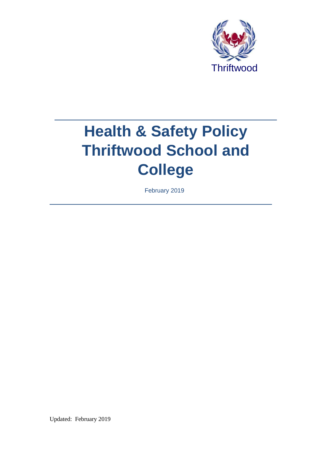

# **Health & Safety Policy Thriftwood School and College**

February 2019

Updated: February 2019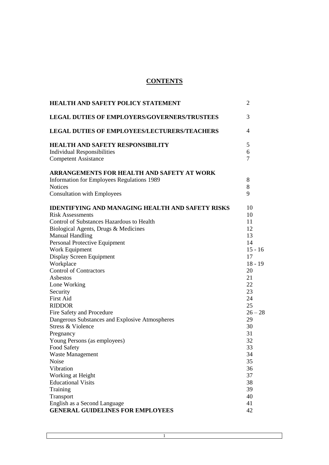# **CONTENTS**

| <b>HEALTH AND SAFETY POLICY STATEMENT</b>               | 2         |
|---------------------------------------------------------|-----------|
| <b>LEGAL DUTIES OF EMPLOYERS/GOVERNERS/TRUSTEES</b>     | 3         |
| <b>LEGAL DUTIES OF EMPLOYEES/LECTURERS/TEACHERS</b>     | 4         |
| <b>HEALTH AND SAFETY RESPONSIBILITY</b>                 | 5         |
| <b>Individual Responsibilities</b>                      | 6         |
| <b>Competent Assistance</b>                             | 7         |
| ARRANGEMENTS FOR HEALTH AND SAFETY AT WORK              |           |
| <b>Information for Employees Regulations 1989</b>       | 8         |
| <b>Notices</b>                                          | 8         |
| <b>Consultation with Employees</b>                      | 9         |
| <b>IDENTIFYING AND MANAGING HEALTH AND SAFETY RISKS</b> | 10        |
| <b>Risk Assessments</b>                                 | 10        |
| Control of Substances Hazardous to Health               | 11        |
| Biological Agents, Drugs & Medicines                    | 12        |
| <b>Manual Handling</b>                                  | 13        |
| Personal Protective Equipment                           | 14        |
| Work Equipment                                          | $15 - 16$ |
| Display Screen Equipment                                | 17        |
| Workplace                                               | $18 - 19$ |
| <b>Control of Contractors</b>                           | 20        |
| Asbestos                                                | 21        |
| Lone Working                                            | 22        |
| Security                                                | 23        |
| <b>First Aid</b>                                        | 24        |
| <b>RIDDOR</b>                                           | 25        |
| Fire Safety and Procedure                               | $26 - 28$ |
| Dangerous Substances and Explosive Atmospheres          | 29        |
| Stress & Violence                                       | 30        |
| Pregnancy                                               | 31        |
| Young Persons (as employees)                            | 32        |
| Food Safety                                             | 33        |
| Waste Management                                        | 34        |
| Noise                                                   | 35        |
| Vibration                                               | 36        |
| Working at Height                                       | 37        |
| <b>Educational Visits</b>                               | 38        |
| Training                                                | 39        |
| Transport                                               | 40        |
| English as a Second Language                            | 41        |
| <b>GENERAL GUIDELINES FOR EMPLOYEES</b>                 | 42        |

1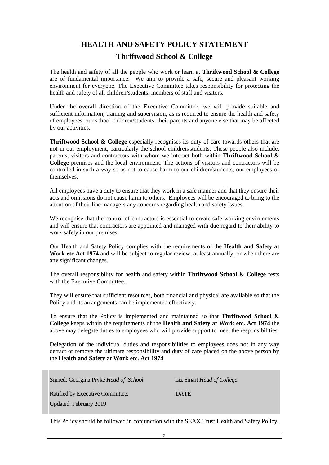# **HEALTH AND SAFETY POLICY STATEMENT**

# **Thriftwood School & College**

The health and safety of all the people who work or learn at **Thriftwood School & College** are of fundamental importance. We aim to provide a safe, secure and pleasant working environment for everyone. The Executive Committee takes responsibility for protecting the health and safety of all children/students, members of staff and visitors.

Under the overall direction of the Executive Committee, we will provide suitable and sufficient information, training and supervision, as is required to ensure the health and safety of employees, our school children/students, their parents and anyone else that may be affected by our activities.

**Thriftwood School & College** especially recognises its duty of care towards others that are not in our employment, particularly the school children/students. These people also include; parents, visitors and contractors with whom we interact both within **Thriftwood School & College** premises and the local environment. The actions of visitors and contractors will be controlled in such a way so as not to cause harm to our children/students, our employees or themselves.

All employees have a duty to ensure that they work in a safe manner and that they ensure their acts and omissions do not cause harm to others. Employees will be encouraged to bring to the attention of their line managers any concerns regarding health and safety issues.

We recognise that the control of contractors is essential to create safe working environments and will ensure that contractors are appointed and managed with due regard to their ability to work safely in our premises.

Our Health and Safety Policy complies with the requirements of the **Health and Safety at Work etc Act 1974** and will be subject to regular review, at least annually, or when there are any significant changes.

The overall responsibility for health and safety within **Thriftwood School & College** rests with the Executive Committee.

They will ensure that sufficient resources, both financial and physical are available so that the Policy and its arrangements can be implemented effectively.

To ensure that the Policy is implemented and maintained so that **Thriftwood School & College** keeps within the requirements of the **Health and Safety at Work etc. Act 1974** the above may delegate duties to employees who will provide support to meet the responsibilities.

Delegation of the individual duties and responsibilities to employees does not in any way detract or remove the ultimate responsibility and duty of care placed on the above person by the **Health and Safety at Work etc. Act 1974**.

| Signed: Georgina Pryke Head of School | Liz Smart Head of College |
|---------------------------------------|---------------------------|
| Ratified by Executive Committee:      | <b>DATE</b>               |
| Updated: February 2019                |                           |

This Policy should be followed in conjunction with the SEAX Trust Health and Safety Policy.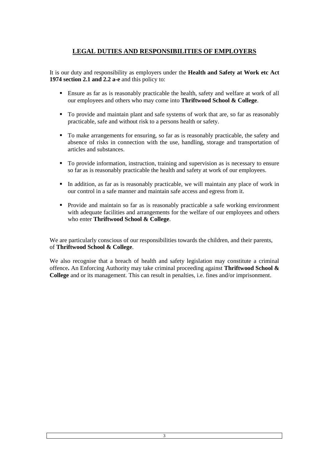# **LEGAL DUTIES AND RESPONSIBILITIES OF EMPLOYERS**

It is our duty and responsibility as employers under the **Health and Safety at Work etc Act 1974 section 2.1 and 2.2 a-e** and this policy to:

- Ensure as far as is reasonably practicable the health, safety and welfare at work of all our employees and others who may come into **Thriftwood School & College**.
- To provide and maintain plant and safe systems of work that are, so far as reasonably practicable, safe and without risk to a persons health or safety.
- To make arrangements for ensuring, so far as is reasonably practicable, the safety and absence of risks in connection with the use, handling, storage and transportation of articles and substances.
- To provide information, instruction, training and supervision as is necessary to ensure so far as is reasonably practicable the health and safety at work of our employees.
- In addition, as far as is reasonably practicable, we will maintain any place of work in our control in a safe manner and maintain safe access and egress from it.
- **Provide and maintain so far as is reasonably practicable a safe working environment** with adequate facilities and arrangements for the welfare of our employees and others who enter **Thriftwood School & College**.

We are particularly conscious of our responsibilities towards the children, and their parents, of **Thriftwood School & College**.

We also recognise that a breach of health and safety legislation may constitute a criminal offence**.** An Enforcing Authority may take criminal proceeding against **Thriftwood School & College** and or its management. This can result in penalties, i.e. fines and/or imprisonment.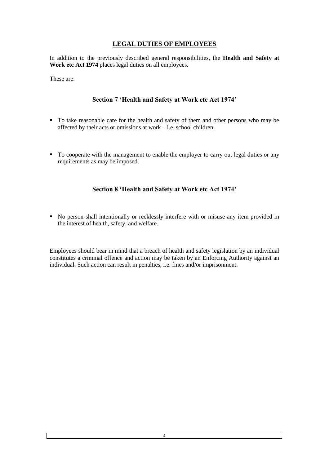# **LEGAL DUTIES OF EMPLOYEES**

In addition to the previously described general responsibilities, the **Health and Safety at**  Work etc Act 1974 places legal duties on all employees.

These are:

# **Section 7 'Health and Safety at Work etc Act 1974'**

- To take reasonable care for the health and safety of them and other persons who may be affected by their acts or omissions at work – i.e. school children.
- To cooperate with the management to enable the employer to carry out legal duties or any requirements as may be imposed.

# **Section 8 'Health and Safety at Work etc Act 1974'**

 No person shall intentionally or recklessly interfere with or misuse any item provided in the interest of health, safety, and welfare.

Employees should bear in mind that a breach of health and safety legislation by an individual constitutes a criminal offence and action may be taken by an Enforcing Authority against an individual. Such action can result in penalties, i.e. fines and/or imprisonment.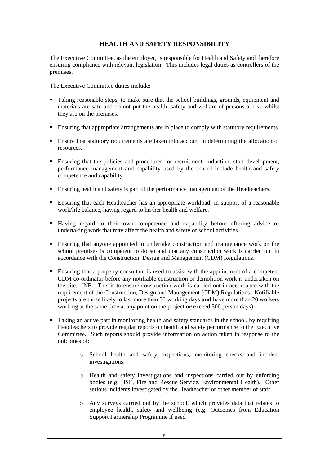# **HEALTH AND SAFETY RESPONSIBILITY**

The Executive Committee, as the employer, is responsible for Health and Safety and therefore ensuring compliance with relevant legislation. This includes legal duties as controllers of the premises.

The Executive Committee duties include:

- Taking reasonable steps, to make sure that the school buildings, grounds, equipment and materials are safe and do not put the health, safety and welfare of persons at risk whilst they are on the premises.
- Ensuring that appropriate arrangements are in place to comply with statutory requirements.
- Ensure that statutory requirements are taken into account in determining the allocation of resources.
- Ensuring that the policies and procedures for recruitment, induction, staff development, performance management and capability used by the school include health and safety competence and capability.
- Ensuring health and safety is part of the performance management of the Headteachers.
- Ensuring that each Headteacher has an appropriate workload, in support of a reasonable work/life balance, having regard to his/her health and welfare.
- Having regard to their own competence and capability before offering advice or undertaking work that may affect the health and safety of school activities.
- Ensuring that anyone appointed to undertake construction and maintenance work on the school premises is competent to do so and that any construction work is carried out in accordance with the Construction, Design and Management (CDM) Regulations.
- Ensuring that a property consultant is used to assist with the appointment of a competent CDM co-ordinator before any notifiable construction or demolition work is undertaken on the site. (NB: This is to ensure construction work is carried out in accordance with the requirement of the Construction, Design and Management (CDM) Regulations. Notifiable projects are those likely to last more than 30 working days **and** have more than 20 workers working at the same time at any point on the project **or** exceed 500 person days).
- Taking an active part in monitoring health and safety standards in the school, by requiring Headteachers to provide regular reports on health and safety performance to the Executive Committee. Such reports should provide information on action taken in response to the outcomes of:
	- o School health and safety inspections, monitoring checks and incident investigations.
	- o Health and safety investigations and inspections carried out by enforcing bodies (e.g. HSE, Fire and Rescue Service, Environmental Health). Other serious incidents investigated by the Headteacher or other member of staff.
	- o Any surveys carried out by the school, which provides data that relates to employee health, safety and wellbeing (e.g. Outcomes from Education Support Partnership Programme if used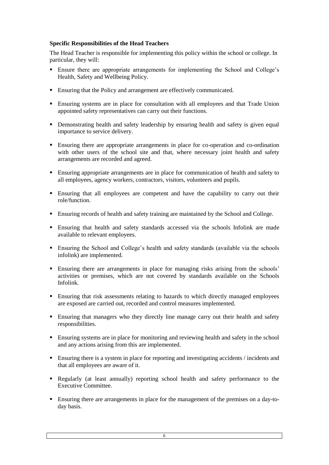## **Specific Responsibilities of the Head Teachers**

The Head Teacher is responsible for implementing this policy within the school or college. In particular, they will:

- Ensure there are appropriate arrangements for implementing the School and College's Health, Safety and Wellbeing Policy.
- Ensuring that the Policy and arrangement are effectively communicated.
- Ensuring systems are in place for consultation with all employees and that Trade Union appointed safety representatives can carry out their functions.
- Demonstrating health and safety leadership by ensuring health and safety is given equal importance to service delivery.
- Ensuring there are appropriate arrangements in place for co-operation and co-ordination with other users of the school site and that, where necessary joint health and safety arrangements are recorded and agreed.
- Ensuring appropriate arrangements are in place for communication of health and safety to all employees, agency workers, contractors, visitors, volunteers and pupils.
- Ensuring that all employees are competent and have the capability to carry out their role/function.
- Ensuring records of health and safety training are maintained by the School and College.
- Ensuring that health and safety standards accessed via the schools Infolink are made available to relevant employees.
- Ensuring the School and College's health and safety standards (available via the schools infolink) are implemented.
- Ensuring there are arrangements in place for managing risks arising from the schools' activities or premises, which are not covered by standards available on the Schools Infolink.
- Ensuring that risk assessments relating to hazards to which directly managed employees are exposed are carried out, recorded and control measures implemented.
- **Ensuring that managers who they directly line manage carry out their health and safety** responsibilities.
- Ensuring systems are in place for monitoring and reviewing health and safety in the school and any actions arising from this are implemented.
- Ensuring there is a system in place for reporting and investigating accidents / incidents and that all employees are aware of it.
- Regularly (at least annually) reporting school health and safety performance to the Executive Committee.
- Ensuring there are arrangements in place for the management of the premises on a day-today basis.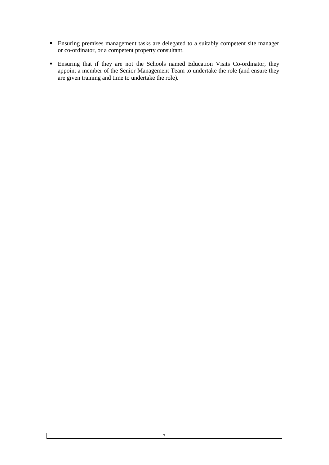- Ensuring premises management tasks are delegated to a suitably competent site manager or co-ordinator, or a competent property consultant.
- Ensuring that if they are not the Schools named Education Visits Co-ordinator, they appoint a member of the Senior Management Team to undertake the role (and ensure they are given training and time to undertake the role).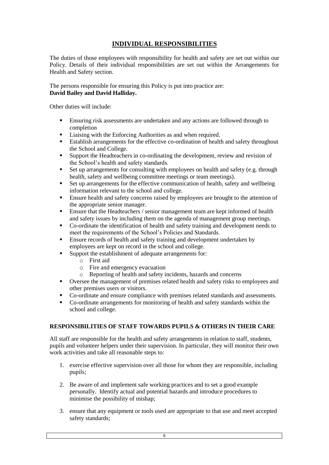# **INDIVIDUAL RESPONSIBILITIES**

The duties of those employees with responsibility for health and safety are set out within our Policy. Details of their individual responsibilities are set out within the Arrangements for Health and Safety section.

The persons responsible for ensuring this Policy is put into practice are: **David Bailey and David Halliday.**

Other duties will include:

- Ensuring risk assessments are undertaken and any actions are followed through to completion
- **Example 1** Liaising with the Enforcing Authorities as and when required.
- Establish arrangements for the effective co-ordination of health and safety throughout the School and College.
- Support the Headteachers in co-ordinating the development, review and revision of the School's health and safety standards.
- Set up arrangements for consulting with employees on health and safety (e.g. through health, safety and wellbeing committee meetings or team meetings).
- Set up arrangements for the effective communication of health, safety and wellbeing information relevant to the school and college.
- **Ensure health and safety concerns raised by employees are brought to the attention of** the appropriate senior manager.
- **Ensure that the Headteachers / senior management team are kept informed of health** and safety issues by including them on the agenda of management group meetings.
- Co-ordinate the identification of health and safety training and development needs to meet the requirements of the School's Policies and Standards.
- Ensure records of health and safety training and development undertaken by employees are kept on record in the school and college.
- Support the establishment of adequate arrangements for:
	- o First aid
	- o Fire and emergency evacuation
	- o Reporting of health and safety incidents, hazards and concerns
- Oversee the management of premises related health and safety risks to employees and other premises users or visitors.
- Co-ordinate and ensure compliance with premises related standards and assessments.
- Co-ordinate arrangements for monitoring of health and safety standards within the school and college.

#### **RESPONSIBILITIES OF STAFF TOWARDS PUPILS & OTHERS IN THEIR CARE**

All staff are responsible for the health and safety arrangements in relation to staff, students, pupils and volunteer helpers under their supervision. In particular, they will monitor their own work activities and take all reasonable steps to:

- 1. exercise effective supervision over all those for whom they are responsible, including pupils;
- 2. Be aware of and implement safe working practices and to set a good example personally. Identify actual and potential hazards and introduce procedures to minimise the possibility of mishap;
- 3. ensure that any equipment or tools used are appropriate to that use and meet accepted safety standards;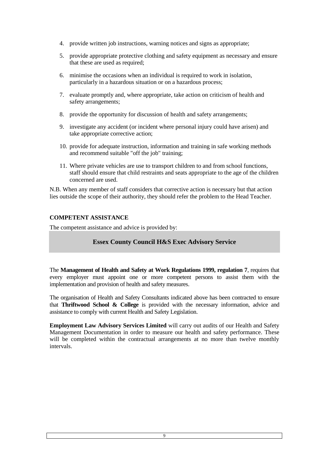- 4. provide written job instructions, warning notices and signs as appropriate;
- 5. provide appropriate protective clothing and safety equipment as necessary and ensure that these are used as required;
- 6. minimise the occasions when an individual is required to work in isolation, particularly in a hazardous situation or on a hazardous process;
- 7. evaluate promptly and, where appropriate, take action on criticism of health and safety arrangements;
- 8. provide the opportunity for discussion of health and safety arrangements;
- 9. investigate any accident (or incident where personal injury could have arisen) and take appropriate corrective action;
- 10. provide for adequate instruction, information and training in safe working methods and recommend suitable "off the job" training;
- 11. Where private vehicles are use to transport children to and from school functions, staff should ensure that child restraints and seats appropriate to the age of the children concerned are used.

N.B. When any member of staff considers that corrective action is necessary but that action lies outside the scope of their authority, they should refer the problem to the Head Teacher.

# **COMPETENT ASSISTANCE**

The competent assistance and advice is provided by:

# **Essex County Council H&S Exec Advisory Service**

The **Management of Health and Safety at Work Regulations 1999, regulation 7**, requires that every employer must appoint one or more competent persons to assist them with the implementation and provision of health and safety measures.

The organisation of Health and Safety Consultants indicated above has been contracted to ensure that **Thriftwood School & College** is provided with the necessary information, advice and assistance to comply with current Health and Safety Legislation.

**Employment Law Advisory Services Limited** will carry out audits of our Health and Safety Management Documentation in order to measure our health and safety performance. These will be completed within the contractual arrangements at no more than twelve monthly intervals.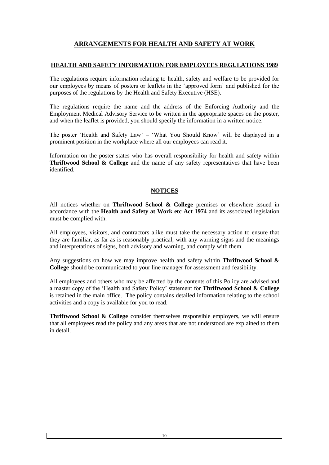# **ARRANGEMENTS FOR HEALTH AND SAFETY AT WORK**

# **HEALTH AND SAFETY INFORMATION FOR EMPLOYEES REGULATIONS 1989**

The regulations require information relating to health, safety and welfare to be provided for our employees by means of posters or leaflets in the 'approved form' and published for the purposes of the regulations by the Health and Safety Executive (HSE).

The regulations require the name and the address of the Enforcing Authority and the Employment Medical Advisory Service to be written in the appropriate spaces on the poster, and when the leaflet is provided, you should specify the information in a written notice.

The poster 'Health and Safety Law' – 'What You Should Know' will be displayed in a prominent position in the workplace where all our employees can read it.

Information on the poster states who has overall responsibility for health and safety within **Thriftwood School & College** and the name of any safety representatives that have been identified.

## **NOTICES**

All notices whether on **Thriftwood School & College** premises or elsewhere issued in accordance with the **Health and Safety at Work etc Act 1974** and its associated legislation must be complied with.

All employees, visitors, and contractors alike must take the necessary action to ensure that they are familiar, as far as is reasonably practical, with any warning signs and the meanings and interpretations of signs, both advisory and warning, and comply with them.

Any suggestions on how we may improve health and safety within **Thriftwood School & College** should be communicated to your line manager for assessment and feasibility.

All employees and others who may be affected by the contents of this Policy are advised and a master copy of the 'Health and Safety Policy' statement for **Thriftwood School & College** is retained in the main office. The policy contains detailed information relating to the school activities and a copy is available for you to read.

**Thriftwood School & College** consider themselves responsible employers, we will ensure that all employees read the policy and any areas that are not understood are explained to them in detail.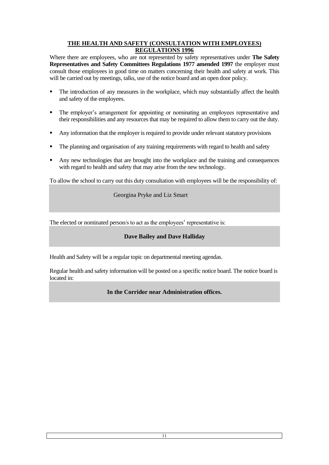# **THE HEALTH AND SAFETY (CONSULTATION WITH EMPLOYEES) REGULATIONS 1996**

Where there are employees, who are not represented by safety representatives under **The Safety Representatives and Safety Committees Regulations 1977 amended 1997** the employer must consult those employees in good time on matters concerning their health and safety at work. This will be carried out by meetings, talks, use of the notice board and an open door policy.

- The introduction of any measures in the workplace, which may substantially affect the health and safety of the employees.
- **The employer's arrangement for appointing or nominating an employees representative and** their responsibilities and any resources that may be required to allow them to carry out the duty.
- Any information that the employer is required to provide under relevant statutory provisions
- The planning and organisation of any training requirements with regard to health and safety
- Any new technologies that are brought into the workplace and the training and consequences with regard to health and safety that may arise from the new technology.

To allow the school to carry out this duty consultation with employees will be the responsibility of:

Georgina Pryke and Liz Smart

The elected or nominated person/s to act as the employees' representative is:

## **Dave Bailey and Dave Halliday**

Health and Safety will be a regular topic on departmental meeting agendas.

Regular health and safety information will be posted on a specific notice board. The notice board is located in:

## **In the Corridor near Administration offices.**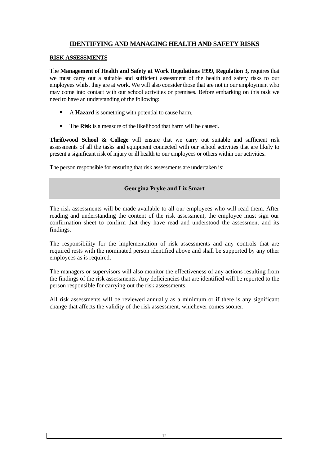# **IDENTIFYING AND MANAGING HEALTH AND SAFETY RISKS**

## **RISK ASSESSMENTS**

The **Management of Health and Safety at Work Regulations 1999, Regulation 3,** requires that we must carry out a suitable and sufficient assessment of the health and safety risks to our employees whilst they are at work. We will also consider those that are not in our employment who may come into contact with our school activities or premises. Before embarking on this task we need to have an understanding of the following:

- A **Hazard** is something with potential to cause harm.
- The **Risk** is a measure of the likelihood that harm will be caused.

**Thriftwood School & College** will ensure that we carry out suitable and sufficient risk assessments of all the tasks and equipment connected with our school activities that are likely to present a significant risk of injury or ill health to our employees or others within our activities.

The person responsible for ensuring that risk assessments are undertaken is:

# **Georgina Pryke and Liz Smart**

The risk assessments will be made available to all our employees who will read them. After reading and understanding the content of the risk assessment, the employee must sign our confirmation sheet to confirm that they have read and understood the assessment and its findings.

The responsibility for the implementation of risk assessments and any controls that are required rests with the nominated person identified above and shall be supported by any other employees as is required.

The managers or supervisors will also monitor the effectiveness of any actions resulting from the findings of the risk assessments. Any deficiencies that are identified will be reported to the person responsible for carrying out the risk assessments.

All risk assessments will be reviewed annually as a minimum or if there is any significant change that affects the validity of the risk assessment, whichever comes sooner.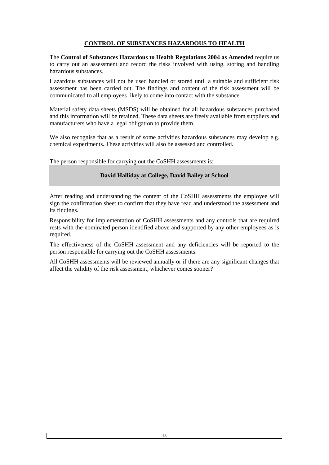# **CONTROL OF SUBSTANCES HAZARDOUS TO HEALTH**

The **Control of Substances Hazardous to Health Regulations 2004 as Amended** require us to carry out an assessment and record the risks involved with using, storing and handling hazardous substances.

Hazardous substances will not be used handled or stored until a suitable and sufficient risk assessment has been carried out. The findings and content of the risk assessment will be communicated to all employees likely to come into contact with the substance.

Material safety data sheets (MSDS) will be obtained for all hazardous substances purchased and this information will be retained. These data sheets are freely available from suppliers and manufacturers who have a legal obligation to provide them.

We also recognise that as a result of some activities hazardous substances may develop e.g. chemical experiments. These activities will also be assessed and controlled.

The person responsible for carrying out the CoSHH assessments is:

## **David Halliday at College, David Bailey at School**

After reading and understanding the content of the CoSHH assessments the employee will sign the confirmation sheet to confirm that they have read and understood the assessment and its findings.

Responsibility for implementation of CoSHH assessments and any controls that are required rests with the nominated person identified above and supported by any other employees as is required.

The effectiveness of the CoSHH assessment and any deficiencies will be reported to the person responsible for carrying out the CoSHH assessments.

All CoSHH assessments will be reviewed annually or if there are any significant changes that affect the validity of the risk assessment, whichever comes sooner?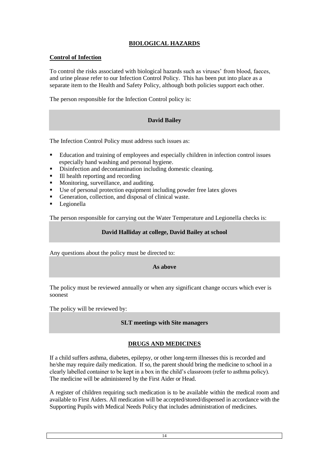# **BIOLOGICAL HAZARDS**

# **Control of Infection**

To control the risks associated with biological hazards such as viruses' from blood, faeces, and urine please refer to our Infection Control Policy. This has been put into place as a separate item to the Health and Safety Policy, although both policies support each other.

The person responsible for the Infection Control policy is:

# **David Bailey**

The Infection Control Policy must address such issues as:

- Education and training of employees and especially children in infection control issues especially hand washing and personal hygiene.
- Disinfection and decontamination including domestic cleaning.
- III health reporting and recording
- Monitoring, surveillance, and auditing.
- Use of personal protection equipment including powder free latex gloves
- Generation, collection, and disposal of clinical waste.
- Legionella

The person responsible for carrying out the Water Temperature and Legionella checks is:

#### **David Halliday at college, David Bailey at school**

Any questions about the policy must be directed to:

#### **As above**

The policy must be reviewed annually or when any significant change occurs which ever is soonest

The policy will be reviewed by:

## **SLT meetings with Site managers**

## **DRUGS AND MEDICINES**

If a child suffers asthma, diabetes, epilepsy, or other long-term illnesses this is recorded and he/she may require daily medication. If so, the parent should bring the medicine to school in a clearly labelled container to be kept in a box in the child's classroom (refer to asthma policy). The medicine will be administered by the First Aider or Head.

A register of children requiring such medication is to be available within the medical room and available to First Aiders. All medication will be accepted/stored/dispensed in accordance with the Supporting Pupils with Medical Needs Policy that includes administration of medicines.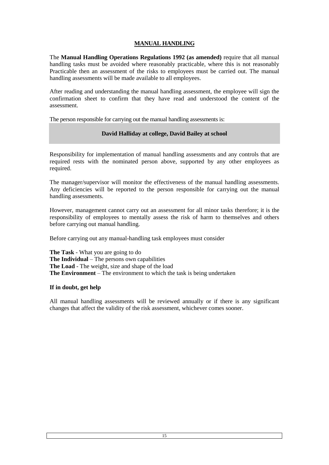# **MANUAL HANDLING**

The **Manual Handling Operations Regulations 1992 (as amended)** require that all manual handling tasks must be avoided where reasonably practicable, where this is not reasonably Practicable then an assessment of the risks to employees must be carried out. The manual handling assessments will be made available to all employees.

After reading and understanding the manual handling assessment, the employee will sign the confirmation sheet to confirm that they have read and understood the content of the assessment.

The person responsible for carrying out the manual handling assessments is:

# **David Halliday at college, David Bailey at school**

Responsibility for implementation of manual handling assessments and any controls that are required rests with the nominated person above, supported by any other employees as required.

The manager/supervisor will monitor the effectiveness of the manual handling assessments. Any deficiencies will be reported to the person responsible for carrying out the manual handling assessments.

However, management cannot carry out an assessment for all minor tasks therefore; it is the responsibility of employees to mentally assess the risk of harm to themselves and others before carrying out manual handling.

Before carrying out any manual-handling task employees must consider

**The Task** - What you are going to do **The Individual** – The persons own capabilities **The Load** - The weight, size and shape of the load **The Environment** – The environment to which the task is being undertaken

## **If in doubt, get help**

All manual handling assessments will be reviewed annually or if there is any significant changes that affect the validity of the risk assessment, whichever comes sooner.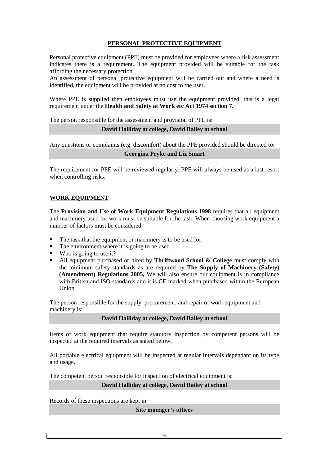# **PERSONAL PROTECTIVE EQUIPMENT**

Personal protective equipment (PPE) must be provided for employees where a risk assessment indicates there is a requirement. The equipment provided will be suitable for the task affording the necessary protection.

An assessment of personal protective equipment will be carried out and where a need is identified, the equipment will be provided at no cost to the user.

Where PPE is supplied then employees must use the equipment provided; this is a legal requirement under the **Health and Safety at Work etc Act 1974 section 7.**

The person responsible for the assessment and provision of PPE is:

#### **David Halliday at college, David Bailey at school**

Any questions or complaints (e.g. discomfort) about the PPE provided should be directed to:

#### **Georgina Pryke and Liz Smart**

The requirement for PPE will be reviewed regularly. PPE will always be used as a last resort when controlling risks.

#### **WORK EQUIPMENT**

The **Provision and Use of Work Equipment Regulations 1998** requires that all equipment and machinery used for work must be suitable for the task. When choosing work equipment a number of factors must be considered:

- The task that the equipment or machinery is to be used for.
- The environment where it is going to be used.
- Who is going to use it?
- All equipment purchased or hired by **Thriftwood School & College** must comply with the minimum safety standards as are required by **The Supply of Machinery (Safety) (Amendment) Regulations 2005,** We will also ensure our equipment is in compliance with British and ISO standards and it is CE marked when purchased within the European Union.

The person responsible for the supply, procurement, and repair of work equipment and machinery is:

**David Halliday at college, David Bailey at school**

Items of work equipment that require statutory inspection by competent persons will be inspected at the required intervals as stated below,

All portable electrical equipment will be inspected at regular intervals dependant on its type and usage.

The competent person responsible for inspection of electrical equipment is:

#### **David Halliday at college, David Bailey at school**

Records of these inspections are kept in:

**Site manager's offices**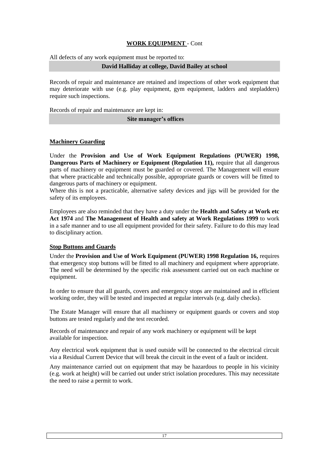# **WORK EQUIPMENT** - Cont

All defects of any work equipment must be reported to:

#### **David Halliday at college, David Bailey at school**

Records of repair and maintenance are retained and inspections of other work equipment that may deteriorate with use (e.g. play equipment, gym equipment, ladders and stepladders) require such inspections.

Records of repair and maintenance are kept in:

#### **Site manager's offices**

## **Machinery Guarding**

Under the **Provision and Use of Work Equipment Regulations (PUWER) 1998, Dangerous Parts of Machinery or Equipment (Regulation 11), require that all dangerous** parts of machinery or equipment must be guarded or covered. The Management will ensure that where practicable and technically possible, appropriate guards or covers will be fitted to dangerous parts of machinery or equipment.

Where this is not a practicable, alternative safety devices and jigs will be provided for the safety of its employees.

Employees are also reminded that they have a duty under the **Health and Safety at Work etc Act 1974** and **The Management of Health and safety at Work Regulations 1999** to work in a safe manner and to use all equipment provided for their safety. Failure to do this may lead to disciplinary action.

## **Stop Buttons and Guards**

Under the **Provision and Use of Work Equipment (PUWER) 1998 Regulation 16,** requires that emergency stop buttons will be fitted to all machinery and equipment where appropriate. The need will be determined by the specific risk assessment carried out on each machine or equipment.

In order to ensure that all guards, covers and emergency stops are maintained and in efficient working order, they will be tested and inspected at regular intervals (e.g. daily checks).

The Estate Manager will ensure that all machinery or equipment guards or covers and stop buttons are tested regularly and the test recorded.

Records of maintenance and repair of any work machinery or equipment will be kept available for inspection.

Any electrical work equipment that is used outside will be connected to the electrical circuit via a Residual Current Device that will break the circuit in the event of a fault or incident.

Any maintenance carried out on equipment that may be hazardous to people in his vicinity (e.g. work at height) will be carried out under strict isolation procedures. This may necessitate the need to raise a permit to work.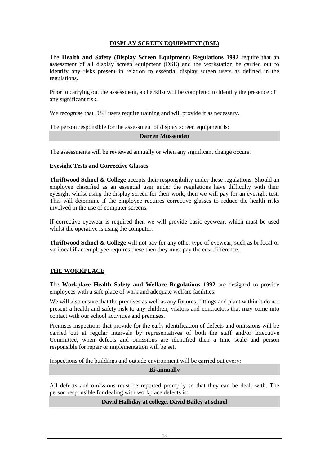# **DISPLAY SCREEN EQUIPMENT (DSE)**

The **Health and Safety (Display Screen Equipment) Regulations 1992** require that an assessment of all display screen equipment (DSE) and the workstation be carried out to identify any risks present in relation to essential display screen users as defined in the regulations.

Prior to carrying out the assessment, a checklist will be completed to identify the presence of any significant risk.

We recognise that DSE users require training and will provide it as necessary.

The person responsible for the assessment of display screen equipment is:

#### **Darren Mussenden**

The assessments will be reviewed annually or when any significant change occurs.

#### **Eyesight Tests and Corrective Glasses**

**Thriftwood School & College** accepts their responsibility under these regulations. Should an employee classified as an essential user under the regulations have difficulty with their eyesight whilst using the display screen for their work, then we will pay for an eyesight test. This will determine if the employee requires corrective glasses to reduce the health risks involved in the use of computer screens.

If corrective eyewear is required then we will provide basic eyewear, which must be used whilst the operative is using the computer.

**Thriftwood School & College** will not pay for any other type of eyewear, such as bi focal or varifocal if an employee requires these then they must pay the cost difference.

## **THE WORKPLACE**

The **Workplace Health Safety and Welfare Regulations 1992** are designed to provide employees with a safe place of work and adequate welfare facilities.

We will also ensure that the premises as well as any fixtures, fittings and plant within it do not present a health and safety risk to any children, visitors and contractors that may come into contact with our school activities and premises.

Premises inspections that provide for the early identification of defects and omissions will be carried out at regular intervals by representatives of both the staff and/or Executive Committee, when defects and omissions are identified then a time scale and person responsible for repair or implementation will be set.

Inspections of the buildings and outside environment will be carried out every:

#### **Bi-annually**

All defects and omissions must be reported promptly so that they can be dealt with. The person responsible for dealing with workplace defects is:

# **David Halliday at college, David Bailey at school**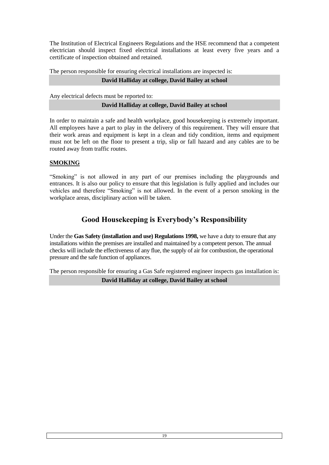The Institution of Electrical Engineers Regulations and the HSE recommend that a competent electrician should inspect fixed electrical installations at least every five years and a certificate of inspection obtained and retained.

The person responsible for ensuring electrical installations are inspected is:

# **David Halliday at college, David Bailey at school**

Any electrical defects must be reported to:

# **David Halliday at college, David Bailey at school**

In order to maintain a safe and health workplace, good housekeeping is extremely important. All employees have a part to play in the delivery of this requirement. They will ensure that their work areas and equipment is kept in a clean and tidy condition, items and equipment must not be left on the floor to present a trip, slip or fall hazard and any cables are to be routed away from traffic routes.

# **SMOKING**

"Smoking" is not allowed in any part of our premises including the playgrounds and entrances. It is also our policy to ensure that this legislation is fully applied and includes our vehicles and therefore "Smoking" is not allowed. In the event of a person smoking in the workplace areas, disciplinary action will be taken.

# **Good Housekeeping is Everybody's Responsibility**

Under the **Gas Safety (installation and use) Regulations 1998,** we have a duty to ensure that any installations within the premises are installed and maintained by a competent person. The annual checks will include the effectiveness of any flue, the supply of air for combustion, the operational pressure and the safe function of appliances.

The person responsible for ensuring a Gas Safe registered engineer inspects gas installation is:

# **David Halliday at college, David Bailey at school**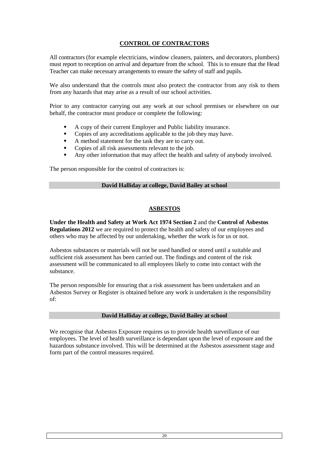# **CONTROL OF CONTRACTORS**

All contractors (for example electricians, window cleaners, painters, and decorators, plumbers) must report to reception on arrival and departure from the school. This is to ensure that the Head Teacher can make necessary arrangements to ensure the safety of staff and pupils.

We also understand that the controls must also protect the contractor from any risk to them from any hazards that may arise as a result of our school activities.

Prior to any contractor carrying out any work at our school premises or elsewhere on our behalf, the contractor must produce or complete the following:

- A copy of their current Employer and Public liability insurance.
- Copies of any accreditations applicable to the job they may have.
- A method statement for the task they are to carry out.
- Copies of all risk assessments relevant to the job.
- Any other information that may affect the health and safety of anybody involved.

The person responsible for the control of contractors is:

#### **David Halliday at college, David Bailey at school**

#### **ASBESTOS**

**Under the Health and Safety at Work Act 1974 Section 2** and the **Control of Asbestos Regulations 2012** we are required to protect the health and safety of our employees and others who may be affected by our undertaking, whether the work is for us or not.

Asbestos substances or materials will not be used handled or stored until a suitable and sufficient risk assessment has been carried out. The findings and content of the risk assessment will be communicated to all employees likely to come into contact with the substance.

The person responsible for ensuring that a risk assessment has been undertaken and an Asbestos Survey or Register is obtained before any work is undertaken is the responsibility of:

#### **David Halliday at college, David Bailey at school**

We recognise that Asbestos Exposure requires us to provide health surveillance of our employees. The level of health surveillance is dependant upon the level of exposure and the hazardous substance involved. This will be determined at the Asbestos assessment stage and form part of the control measures required.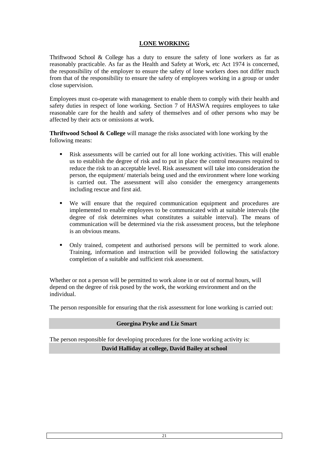# **LONE WORKING**

Thriftwood School & College has a duty to ensure the safety of lone workers as far as reasonably practicable. As far as the Health and Safety at Work, etc Act 1974 is concerned, the responsibility of the employer to ensure the safety of lone workers does not differ much from that of the responsibility to ensure the safety of employees working in a group or under close supervision.

Employees must co-operate with management to enable them to comply with their health and safety duties in respect of lone working. Section 7 of HASWA requires employees to take reasonable care for the health and safety of themselves and of other persons who may be affected by their acts or omissions at work.

**Thriftwood School & College** will manage the risks associated with lone working by the following means:

- Risk assessments will be carried out for all lone working activities. This will enable us to establish the degree of risk and to put in place the control measures required to reduce the risk to an acceptable level. Risk assessment will take into consideration the person, the equipment/ materials being used and the environment where lone working is carried out. The assessment will also consider the emergency arrangements including rescue and first aid.
- We will ensure that the required communication equipment and procedures are implemented to enable employees to be communicated with at suitable intervals (the degree of risk determines what constitutes a suitable interval). The means of communication will be determined via the risk assessment process, but the telephone is an obvious means.
- Only trained, competent and authorised persons will be permitted to work alone. Training, information and instruction will be provided following the satisfactory completion of a suitable and sufficient risk assessment.

Whether or not a person will be permitted to work alone in or out of normal hours, will depend on the degree of risk posed by the work, the working environment and on the individual.

The person responsible for ensuring that the risk assessment for lone working is carried out:

## **Georgina Pryke and Liz Smart**

The person responsible for developing procedures for the lone working activity is: **David Halliday at college, David Bailey at school**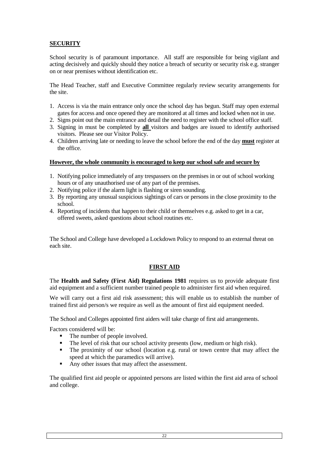# **SECURITY**

School security is of paramount importance. All staff are responsible for being vigilant and acting decisively and quickly should they notice a breach of security or security risk e.g. stranger on or near premises without identification etc.

The Head Teacher, staff and Executive Committee regularly review security arrangements for the site.

- 1. Access is via the main entrance only once the school day has begun. Staff may open external gates for access and once opened they are monitored at all times and locked when not in use.
- 2. Signs point out the main entrance and detail the need to register with the school office staff.
- 3. Signing in must be completed by **all** visitors and badges are issued to identify authorised visitors. Please see our Visitor Policy.
- 4. Children arriving late or needing to leave the school before the end of the day **must** register at the office.

#### **However, the whole community is encouraged to keep our school safe and secure by**

- 1. Notifying police immediately of any trespassers on the premises in or out of school working hours or of any unauthorised use of any part of the premises.
- 2. Notifying police if the alarm light is flashing or siren sounding.
- 3. By reporting any unusual suspicious sightings of cars or persons in the close proximity to the school.
- 4. Reporting of incidents that happen to their child or themselves e.g. asked to get in a car, offered sweets, asked questions about school routines etc.

The School and College have developed a Lockdown Policy to respond to an external threat on each site.

## **FIRST AID**

The **Health and Safety (First Aid) Regulations 1981** requires us to provide adequate first aid equipment and a sufficient number trained people to administer first aid when required.

We will carry out a first aid risk assessment; this will enable us to establish the number of trained first aid person/s we require as well as the amount of first aid equipment needed.

The School and Colleges appointed first aiders will take charge of first aid arrangements.

Factors considered will be:

- The number of people involved.
- The level of risk that our school activity presents (low, medium or high risk).
- The proximity of our school (location e.g. rural or town centre that may affect the speed at which the paramedics will arrive).
- Any other issues that may affect the assessment.

The qualified first aid people or appointed persons are listed within the first aid area of school and college.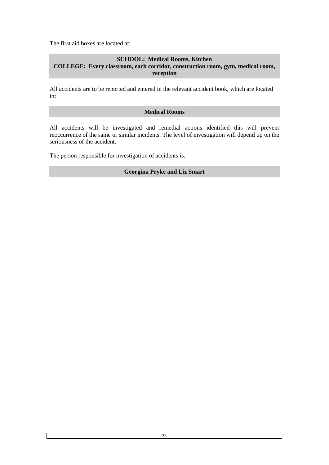The first aid boxes are located at:

# **SCHOOL: Medical Rooms, Kitchen COLLEGE: Every classroom, each corridor, construction room, gym, medical room, reception**

All accidents are to be reported and entered in the relevant accident book, which are located in:

#### **Medical Rooms**

All accidents will be investigated and remedial actions identified this will prevent reoccurrence of the same or similar incidents. The level of investigation will depend up on the seriousness of the accident.

The person responsible for investigation of accidents is:

#### **Georgina Pryke and Liz Smart**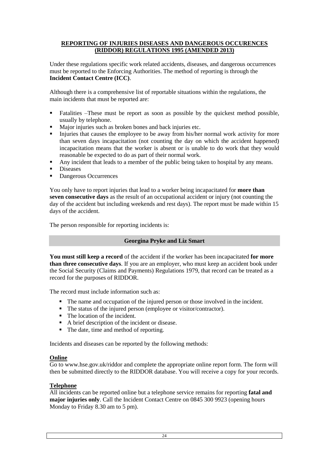## **REPORTING OF INJURIES DISEASES AND DANGEROUS OCCURENCES (RIDDOR) REGULATIONS 1995 (AMENDED 2013)**

Under these regulations specific work related accidents, diseases, and dangerous occurrences must be reported to the Enforcing Authorities. The method of reporting is through the **Incident Contact Centre (ICC)**.

Although there is a comprehensive list of reportable situations within the regulations, the main incidents that must be reported are:

- Fatalities –These must be report as soon as possible by the quickest method possible, usually by telephone.
- Major injuries such as broken bones and back injuries etc.<br>Iniuries that causes the employee to be away from his/her
- Injuries that causes the employee to be away from his/her normal work activity for more than seven days incapacitation (not counting the day on which the accident happened) incapacitation means that the worker is absent or is unable to do work that they would reasonable be expected to do as part of their normal work.
- Any incident that leads to a member of the public being taken to hospital by any means.
- **Diseases**
- Dangerous Occurrences

You only have to report injuries that lead to a worker being incapacitated for **more than seven consecutive days** as the result of an occupational accident or injury (not counting the day of the accident but including weekends and rest days). The report must be made within 15 days of the accident.

The person responsible for reporting incidents is:

## **Georgina Pryke and Liz Smart**

**You must still keep a record** of the accident if the worker has been incapacitated **for more than three consecutive days**. If you are an employer, who must keep an accident book under the Social Security (Claims and Payments) Regulations 1979, that record can be treated as a record for the purposes of RIDDOR.

The record must include information such as:

- The name and occupation of the injured person or those involved in the incident.
- The status of the injured person (employee or visitor/contractor).
- The location of the incident.
- A brief description of the incident or disease.
- The date, time and method of reporting.

Incidents and diseases can be reported by the following methods:

## **Online**

Go to www.hse.gov.uk/riddor and complete the appropriate online report form. The form will then be submitted directly to the RIDDOR database. You will receive a copy for your records.

## **Telephone**

All incidents can be reported online but a telephone service remains for reporting **fatal and major injuries only**. Call the Incident Contact Centre on 0845 300 9923 (opening hours Monday to Friday 8.30 am to 5 pm).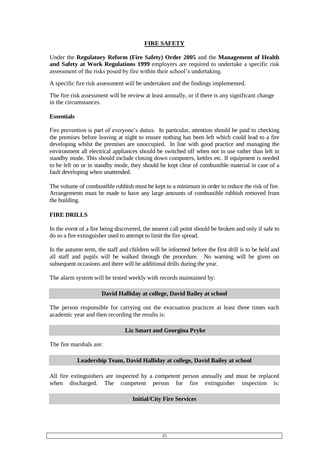# **FIRE SAFETY**

Under the **Regulatory Reform (Fire Safety) Order 2005** and the **Management of Health and Safety at Work Regulations 1999** employers are required to undertake a specific risk assessment of the risks posed by fire within their school's undertaking.

A specific fire risk assessment will be undertaken and the findings implemented.

The fire risk assessment will be review at least annually, or if there is any significant change in the circumstances.

#### **Essentials**

Fire prevention is part of everyone's duties. In particular, attention should be paid to checking the premises before leaving at night to ensure nothing has been left which could lead to a fire developing whilst the premises are unoccupied. In line with good practice and managing the environment all electrical appliances should be switched off when not in use rather than left in standby mode. This should include closing down computers, kettles etc. If equipment is needed to be left on or in standby mode, they should be kept clear of combustible material in case of a fault developing when unattended.

The volume of combustible rubbish must be kept to a minimum in order to reduce the risk of fire. Arrangements must be made to have any large amounts of combustible rubbish removed from the building.

## **FIRE DRILLS**

In the event of a fire being discovered, the nearest call point should be broken and only if safe to do so a fire extinguisher used to attempt to limit the fire spread.

In the autumn term, the staff and children will be informed before the first drill is to be held and all staff and pupils will be walked through the procedure. No warning will be given on subsequent occasions and there will be additional drills during the year.

The alarm system will be tested weekly with records maintained by:

#### **David Halliday at college, David Bailey at school**

The person responsible for carrying out the evacuation practices at least three times each academic year and then recording the results is:

## **Liz Smart and Georgina Pryke**

The fire marshals are:

## **Leadership Team, David Halliday at college, David Bailey at school**

All fire extinguishers are inspected by a competent person annually and must be replaced when discharged. The competent person for fire extinguisher inspection is:

#### **Initial/City Fire Services**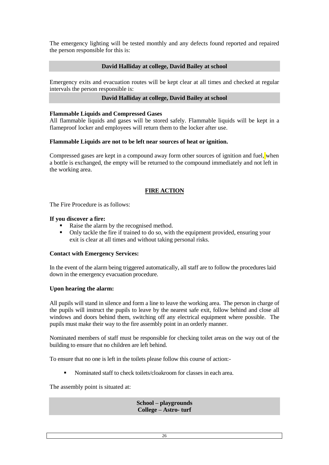The emergency lighting will be tested monthly and any defects found reported and repaired the person responsible for this is:

#### **David Halliday at college, David Bailey at school**

Emergency exits and evacuation routes will be kept clear at all times and checked at regular intervals the person responsible is:

#### **David Halliday at college, David Bailey at school**

#### **Flammable Liquids and Compressed Gases**

All flammable liquids and gases will be stored safely. Flammable liquids will be kept in a flameproof locker and employees will return them to the locker after use.

#### **Flammable Liquids are not to be left near sources of heat or ignition.**

Compressed gases are kept in a compound away form other sources of ignition and fuel, when a bottle is exchanged, the empty will be returned to the compound immediately and not left in the working area.

#### **FIRE ACTION**

The Fire Procedure is as follows:

#### **If you discover a fire:**

- Raise the alarm by the recognised method.
- Only tackle the fire if trained to do so, with the equipment provided, ensuring your exit is clear at all times and without taking personal risks.

#### **Contact with Emergency Services:**

In the event of the alarm being triggered automatically, all staff are to follow the procedures laid down in the emergency evacuation procedure.

#### **Upon hearing the alarm:**

All pupils will stand in silence and form a line to leave the working area. The person in charge of the pupils will instruct the pupils to leave by the nearest safe exit, follow behind and close all windows and doors behind them, switching off any electrical equipment where possible. The pupils must make their way to the fire assembly point in an orderly manner.

Nominated members of staff must be responsible for checking toilet areas on the way out of the building to ensure that no children are left behind.

To ensure that no one is left in the toilets please follow this course of action:-

Nominated staff to check toilets/cloakroom for classes in each area.

The assembly point is situated at:

**School – playgrounds College – Astro- turf**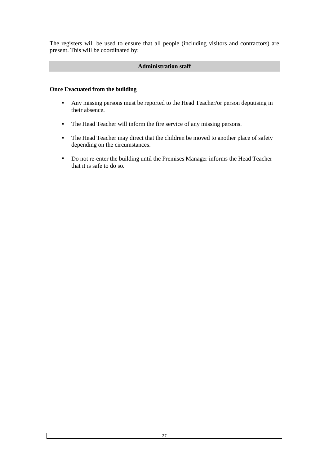The registers will be used to ensure that all people (including visitors and contractors) are present. This will be coordinated by:

# **Administration staff**

#### **Once Evacuated from the building**

- Any missing persons must be reported to the Head Teacher/or person deputising in their absence.
- The Head Teacher will inform the fire service of any missing persons.
- The Head Teacher may direct that the children be moved to another place of safety depending on the circumstances.
- Do not re-enter the building until the Premises Manager informs the Head Teacher that it is safe to do so.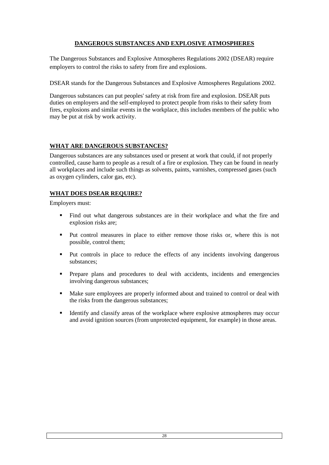# **DANGEROUS SUBSTANCES AND EXPLOSIVE ATMOSPHERES**

The Dangerous Substances and Explosive Atmospheres Regulations 2002 (DSEAR) require employers to control the risks to safety from fire and explosions.

DSEAR stands for the Dangerous Substances and Explosive Atmospheres Regulations 2002.

Dangerous substances can put peoples' safety at risk from fire and explosion. DSEAR puts duties on employers and the self-employed to protect people from risks to their safety from fires, explosions and similar events in the workplace, this includes members of the public who may be put at risk by work activity.

# **WHAT ARE DANGEROUS SUBSTANCES?**

Dangerous substances are any substances used or present at work that could, if not properly controlled, cause harm to people as a result of a fire or explosion. They can be found in nearly all workplaces and include such things as solvents, paints, varnishes, compressed gases (such as oxygen cylinders, calor gas, etc).

# **WHAT DOES DSEAR REQUIRE?**

Employers must:

- Find out what dangerous substances are in their workplace and what the fire and explosion risks are;
- Put control measures in place to either remove those risks or, where this is not possible, control them;
- Put controls in place to reduce the effects of any incidents involving dangerous substances;
- Prepare plans and procedures to deal with accidents, incidents and emergencies involving dangerous substances;
- Make sure employees are properly informed about and trained to control or deal with the risks from the dangerous substances;
- Identify and classify areas of the workplace where explosive atmospheres may occur and avoid ignition sources (from unprotected equipment, for example) in those areas.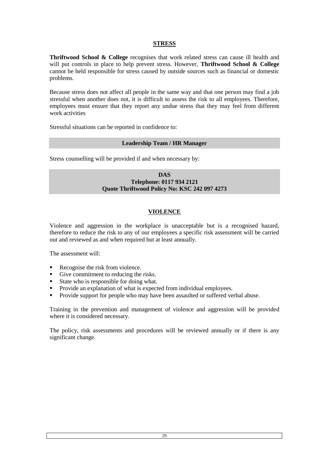## **STRESS**

**Thriftwood School & College** recognises that work related stress can cause ill health and will put controls in place to help prevent stress. However, **Thriftwood School & College** cannot be held responsible for stress caused by outside sources such as financial or domestic problems.

Because stress does not affect all people in the same way and that one person may find a job stressful when another does not, it is difficult to assess the risk to all employees. Therefore, employees must ensure that they report any undue stress that they may feel from different work activities

Stressful situations can be reported in confidence to:

#### **Leadership Team / HR Manager**

Stress counselling will be provided if and when necessary by:

#### **DAS Telephone: 0117 934 2121 Quote Thriftwood Policy No: KSC 242 097 4273**

# **VIOLENCE**

Violence and aggression in the workplace is unacceptable but is a recognised hazard, therefore to reduce the risk to any of our employees a specific risk assessment will be carried out and reviewed as and when required but at least annually.

The assessment will:

- Recognise the risk from violence.
- Give commitment to reducing the risks.
- State who is responsible for doing what.<br>Provide an explanation of what is expected.
- Provide an explanation of what is expected from individual employees.
- Provide support for people who may have been assaulted or suffered verbal abuse.

Training in the prevention and management of violence and aggression will be provided where it is considered necessary.

The policy, risk assessments and procedures will be reviewed annually or if there is any significant change.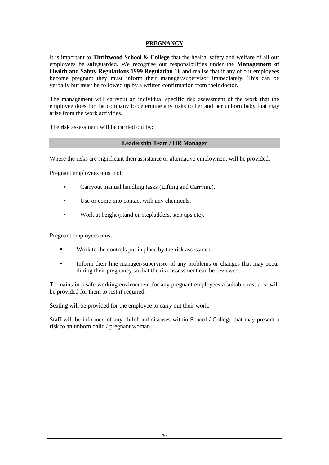# **PREGNANCY**

It is important to **Thriftwood School & College** that the health, safety and welfare of all our employees be safeguarded. We recognise our responsibilities under the **Management of Health and Safety Regulations 1999 Regulation 16** and realise that if any of our employees become pregnant they must inform their manager/supervisor immediately. This can be verbally but must be followed up by a written confirmation from their doctor.

The management will carryout an individual specific risk assessment of the work that the employee does for the company to determine any risks to her and her unborn baby that may arise from the work activities.

The risk assessment will be carried out by:

#### **Leadership Team / HR Manager**

Where the risks are significant then assistance or alternative employment will be provided.

Pregnant employees must not:

- **Carryout manual handling tasks (Lifting and Carrying).**
- Use or come into contact with any chemicals.
- **Work at height (stand on stepladders, step ups etc).**

Pregnant employees must.

- Work to the controls put in place by the risk assessment.
- Inform their line manager/supervisor of any problems or changes that may occur during their pregnancy so that the risk assessment can be reviewed.

To maintain a safe working environment for any pregnant employees a suitable rest area will be provided for them to rest if required.

Seating will be provided for the employee to carry out their work.

Staff will be informed of any childhood diseases within School / College that may present a risk to an unborn child / pregnant woman.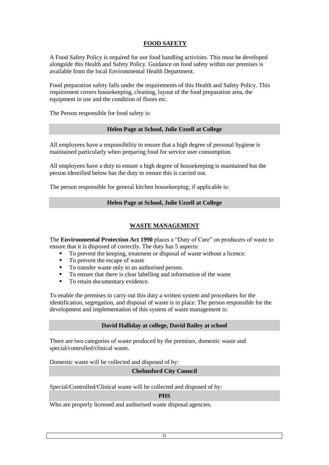# **FOOD SAFETY**

A Food Safety Policy is required for our food handling activities. This must be developed alongside this Health and Safety Policy. Guidance on food safety within our premises is available from the local Environmental Health Department.

Food preparation safety falls under the requirements of this Health and Safety Policy. This requirement covers housekeeping, cleaning, layout of the food preparation area, the equipment in use and the condition of floors etc.

The Person responsible for food safety is:

#### **Helen Page at School, Julie Uzzell at College**

All employees have a responsibility to ensure that a high degree of personal hygiene is maintained particularly when preparing food for service user consumption.

All employees have a duty to ensure a high degree of housekeeping is maintained but the person identified below has the duty to ensure this is carried out.

The person responsible for general kitchen housekeeping; if applicable is:

#### **Helen Page at School, Julie Uzzell at College**

## **WASTE MANAGEMENT**

The **Environmental Protection Act 1990** places a "Duty of Care" on producers of waste to ensure that it is disposed of correctly. The duty has 5 aspects:

- To prevent the keeping, treatment or disposal of waste without a licence.
- To prevent the escape of waste
- To transfer waste only to an authorised person.
- To ensure that there is clear labelling and information of the waste
- To retain documentary evidence.

To enable the premises to carry out this duty a written system and procedures for the identification, segregation, and disposal of waste is in place. The person responsible for the development and implementation of this system of waste management is:

#### **David Halliday at college, David Bailey at school**

There are two categories of waste produced by the premises, domestic waste and special/controlled/clinical waste.

Domestic waste will be collected and disposed of by:

## **Chelmsford City Council**

Special/Controlled/Clinical waste will be collected and disposed of by:

#### **PHS**

Who are properly licensed and authorised waste disposal agencies.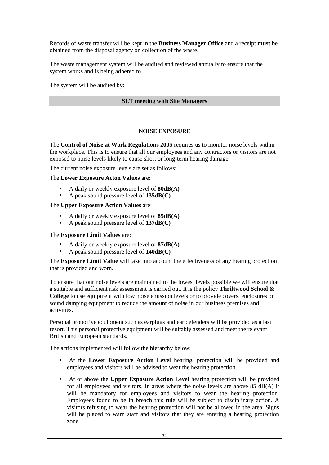Records of waste transfer will be kept in the **Business Manager Office** and a receipt **must** be obtained from the disposal agency on collection of the waste.

The waste management system will be audited and reviewed annually to ensure that the system works and is being adhered to.

The system will be audited by:

## **SLT meeting with Site Managers**

#### **NOISE EXPOSURE**

The **Control of Noise at Work Regulations 2005** requires us to monitor noise levels within the workplace. This is to ensure that all our employees and any contractors or visitors are not exposed to noise levels likely to cause short or long-term hearing damage.

The current noise exposure levels are set as follows:

#### The **Lower Exposure Acton Values** are:

- A daily or weekly exposure level of **80dB(A)**
- A peak sound pressure level of **135dB(C)**

#### The **Upper Exposure Action Values** are:

- A daily or weekly exposure level of **85dB(A)**
- A peak sound pressure level of **137dB(C)**

#### The **Exposure Limit Values** are:

- A daily or weekly exposure level of **87dB(A)**
- A peak sound pressure level of **140dB(C)**

The **Exposure Limit Value** will take into account the effectiveness of any hearing protection that is provided and worn.

To ensure that our noise levels are maintained to the lowest levels possible we will ensure that a suitable and sufficient risk assessment is carried out. It is the policy **Thriftwood School & College** to use equipment with low noise emission levels or to provide covers, enclosures or sound damping equipment to reduce the amount of noise in our business premises and activities.

Personal protective equipment such as earplugs and ear defenders will be provided as a last resort. This personal protective equipment will be suitably assessed and meet the relevant British and European standards.

The actions implemented will follow the hierarchy below:

- At the **Lower Exposure Action Level** hearing, protection will be provided and employees and visitors will be advised to wear the hearing protection.
- At or above the **Upper Exposure Action Level** hearing protection will be provided for all employees and visitors. In areas where the noise levels are above 85 dB(A) it will be mandatory for employees and visitors to wear the hearing protection. Employees found to be in breach this rule will be subject to disciplinary action. A visitors refusing to wear the hearing protection will not be allowed in the area. Signs will be placed to warn staff and visitors that they are entering a hearing protection zone.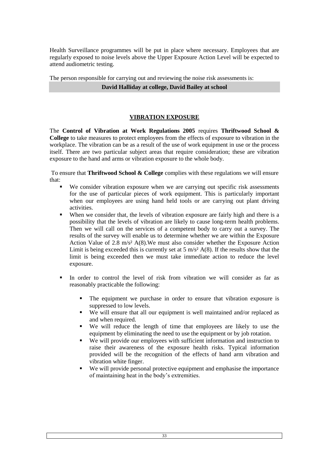Health Surveillance programmes will be put in place where necessary. Employees that are regularly exposed to noise levels above the Upper Exposure Action Level will be expected to attend audiometric testing.

The person responsible for carrying out and reviewing the noise risk assessments is: **David Halliday at college, David Bailey at school**

# **VIBRATION EXPOSURE**

The **Control of Vibration at Work Regulations 2005** requires **Thriftwood School & College** to take measures to protect employees from the effects of exposure to vibration in the workplace. The vibration can be as a result of the use of work equipment in use or the process itself. There are two particular subject areas that require consideration; these are vibration exposure to the hand and arms or vibration exposure to the whole body.

To ensure that **Thriftwood School & College** complies with these regulations we will ensure that:

- We consider vibration exposure when we are carrying out specific risk assessments for the use of particular pieces of work equipment. This is particularly important when our employees are using hand held tools or are carrying out plant driving activities.
- When we consider that, the levels of vibration exposure are fairly high and there is a possibility that the levels of vibration are likely to cause long-term health problems. Then we will call on the services of a competent body to carry out a survey. The results of the survey will enable us to determine whether we are within the Exposure Action Value of 2.8 m/s² A(8).We must also consider whether the Exposure Action Limit is being exceeded this is currently set at  $5 \text{ m/s}^2$  A(8). If the results show that the limit is being exceeded then we must take immediate action to reduce the level exposure.
- In order to control the level of risk from vibration we will consider as far as reasonably practicable the following:
	- The equipment we purchase in order to ensure that vibration exposure is suppressed to low levels.
	- We will ensure that all our equipment is well maintained and/or replaced as and when required.
	- We will reduce the length of time that employees are likely to use the equipment by eliminating the need to use the equipment or by job rotation.
	- We will provide our employees with sufficient information and instruction to raise their awareness of the exposure health risks. Typical information provided will be the recognition of the effects of hand arm vibration and vibration white finger.
	- We will provide personal protective equipment and emphasise the importance of maintaining heat in the body's extremities.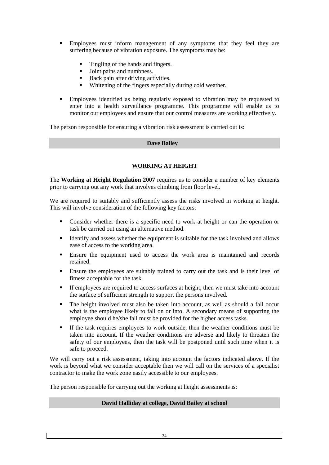- Employees must inform management of any symptoms that they feel they are suffering because of vibration exposure. The symptoms may be:
	- Tingling of the hands and fingers.
	- Joint pains and numbness.<br>• Rack nain after driving act
	- Back pain after driving activities.
	- Whitening of the fingers especially during cold weather.
- Employees identified as being regularly exposed to vibration may be requested to enter into a health surveillance programme. This programme will enable us to monitor our employees and ensure that our control measures are working effectively.

The person responsible for ensuring a vibration risk assessment is carried out is:

#### **Dave Bailey**

# **WORKING AT HEIGHT**

The **Working at Height Regulation 2007** requires us to consider a number of key elements prior to carrying out any work that involves climbing from floor level.

We are required to suitably and sufficiently assess the risks involved in working at height. This will involve consideration of the following key factors:

- Consider whether there is a specific need to work at height or can the operation or task be carried out using an alternative method.
- Identify and assess whether the equipment is suitable for the task involved and allows ease of access to the working area.
- Ensure the equipment used to access the work area is maintained and records retained.
- Ensure the employees are suitably trained to carry out the task and is their level of fitness acceptable for the task.
- If employees are required to access surfaces at height, then we must take into account the surface of sufficient strength to support the persons involved.
- The height involved must also be taken into account, as well as should a fall occur what is the employee likely to fall on or into. A secondary means of supporting the employee should he/she fall must be provided for the higher access tasks.
- If the task requires employees to work outside, then the weather conditions must be taken into account. If the weather conditions are adverse and likely to threaten the safety of our employees, then the task will be postponed until such time when it is safe to proceed.

We will carry out a risk assessment, taking into account the factors indicated above. If the work is beyond what we consider acceptable then we will call on the services of a specialist contractor to make the work zone easily accessible to our employees.

The person responsible for carrying out the working at height assessments is:

#### **David Halliday at college, David Bailey at school**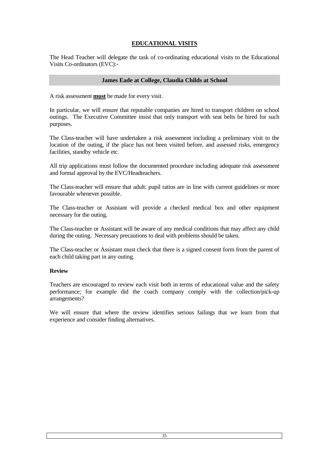# **EDUCATIONAL VISITS**

The Head Teacher will delegate the task of co-ordinating educational visits to the Educational Visits Co-ordinators (EVC):-

#### **James Eade at College, Claudia Childs at School**

A risk assessment **must** be made for every visit.

In particular, we will ensure that reputable companies are hired to transport children on school outings. The Executive Committee insist that only transport with seat belts be hired for such purposes.

The Class-teacher will have undertaken a risk assessment including a preliminary visit to the location of the outing, if the place has not been visited before, and assessed risks, emergency facilities, standby vehicle etc.

All trip applications must follow the documented procedure including adequate risk assessment and formal approval by the EVC/Headteachers.

The Class-teacher will ensure that adult: pupil ratios are in line with current guidelines or more favourable whenever possible.

The Class-teacher or Assistant will provide a checked medical box and other equipment necessary for the outing.

The Class-teacher or Assistant will be aware of any medical conditions that may affect any child during the outing. Necessary precautions to deal with problems should be taken.

The Class-teacher or Assistant must check that there is a signed consent form from the parent of each child taking part in any outing.

#### **Review**

Teachers are encouraged to review each visit both in terms of educational value and the safety performance; for example did the coach company comply with the collection/pick-up arrangements?

We will ensure that where the review identifies serious failings that we learn from that experience and consider finding alternatives.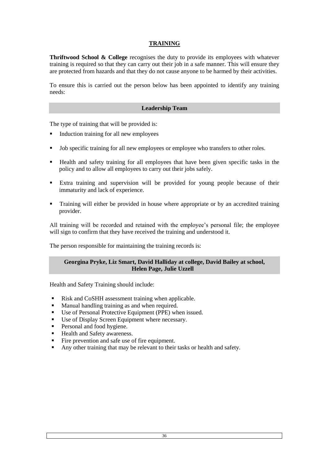# **TRAINING**

**Thriftwood School & College** recognises the duty to provide its employees with whatever training is required so that they can carry out their job in a safe manner. This will ensure they are protected from hazards and that they do not cause anyone to be harmed by their activities.

To ensure this is carried out the person below has been appointed to identify any training needs:

#### **Leadership Team**

The type of training that will be provided is:

- Induction training for all new employees
- I Job specific training for all new employees or employee who transfers to other roles.
- Health and safety training for all employees that have been given specific tasks in the policy and to allow all employees to carry out their jobs safely.
- Extra training and supervision will be provided for young people because of their immaturity and lack of experience.
- Training will either be provided in house where appropriate or by an accredited training provider.

All training will be recorded and retained with the employee's personal file; the employee will sign to confirm that they have received the training and understood it.

The person responsible for maintaining the training records is:

#### **Georgina Pryke, Liz Smart, David Halliday at college, David Bailey at school, Helen Page, Julie Uzzell**

Health and Safety Training should include:

- Risk and CoSHH assessment training when applicable.
- Manual handling training as and when required.
- Use of Personal Protective Equipment (PPE) when issued.
- Use of Display Screen Equipment where necessary.
- **Personal and food hygiene.**
- Health and Safety awareness.
- Fire prevention and safe use of fire equipment.
- Any other training that may be relevant to their tasks or health and safety.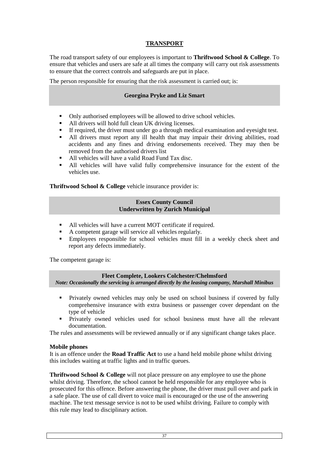# **TRANSPORT**

The road transport safety of our employees is important to **Thriftwood School & College**. To ensure that vehicles and users are safe at all times the company will carry out risk assessments to ensure that the correct controls and safeguards are put in place.

The person responsible for ensuring that the risk assessment is carried out; is:

## **Georgina Pryke and Liz Smart**

- Only authorised employees will be allowed to drive school vehicles.
- All drivers will hold full clean UK driving licenses.
- If required, the driver must under go a through medical examination and eyesight test.
- All drivers must report any ill health that may impair their driving abilities, road accidents and any fines and driving endorsements received. They may then be removed from the authorised drivers list
- All vehicles will have a valid Road Fund Tax disc.
- All vehicles will have valid fully comprehensive insurance for the extent of the vehicles use.

**Thriftwood School & College** vehicle insurance provider is:

#### **Essex County Council Underwritten by Zurich Municipal**

- All vehicles will have a current MOT certificate if required.
- A competent garage will service all vehicles regularly.
- Employees responsible for school vehicles must fill in a weekly check sheet and report any defects immediately.

The competent garage is:

#### **Fleet Complete, Lookers Colchester/Chelmsford**  *Note: Occasionally the servicing is arranged directly by the leasing company, Marshall Minibus*

- Privately owned vehicles may only be used on school business if covered by fully comprehensive insurance with extra business or passenger cover dependant on the type of vehicle
- **Privately owned vehicles used for school business must have all the relevant** documentation.

The rules and assessments will be reviewed annually or if any significant change takes place.

#### **Mobile phones**

It is an offence under the **Road Traffic Act** to use a hand held mobile phone whilst driving this includes waiting at traffic lights and in traffic queues.

**Thriftwood School & College** will not place pressure on any employee to use the phone whilst driving. Therefore, the school cannot be held responsible for any employee who is prosecuted for this offence. Before answering the phone, the driver must pull over and park in a safe place. The use of call divert to voice mail is encouraged or the use of the answering machine. The text message service is not to be used whilst driving. Failure to comply with this rule may lead to disciplinary action.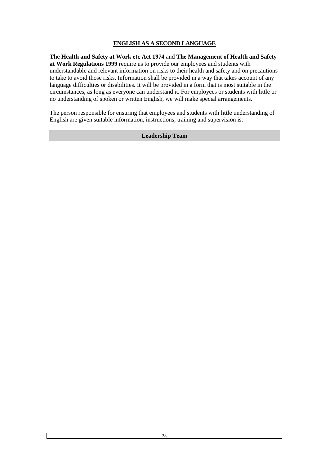# **ENGLISH AS A SECOND LANGUAGE**

**The Health and Safety at Work etc Act 1974** and **The Management of Health and Safety at Work Regulations 1999** require us to provide our employees and students with understandable and relevant information on risks to their health and safety and on precautions to take to avoid those risks. Information shall be provided in a way that takes account of any language difficulties or disabilities. It will be provided in a form that is most suitable in the circumstances, as long as everyone can understand it. For employees or students with little or no understanding of spoken or written English, we will make special arrangements.

The person responsible for ensuring that employees and students with little understanding of English are given suitable information, instructions, training and supervision is:

## **Leadership Team**